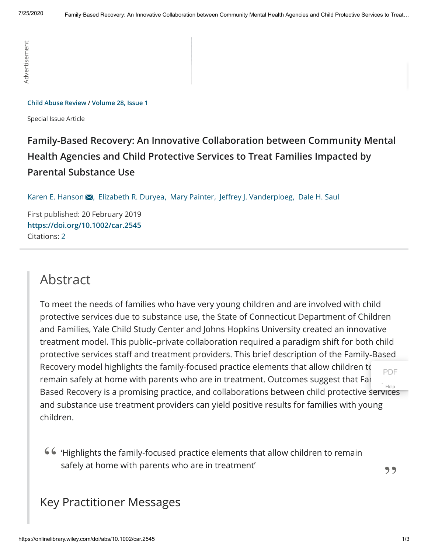#### **[Child Abuse Review](https://onlinelibrary.wiley.com/journal/10990852) / [Volume 28, Issue 1](https://onlinelibrary.wiley.com/toc/10990852/2019/28/1)**

Special Issue Article

# **Family‐Based Recovery: An Innovative Collaboration between Community Mental Health Agencies and Child Protective Services to Treat Families Impacted by Parental Substance Use**

[Karen E. Hanson](https://onlinelibrary.wiley.com/action/doSearch?ContribAuthorStored=Hanson%2C+Karen+E) X, [Elizabeth R. Duryea](https://onlinelibrary.wiley.com/action/doSearch?ContribAuthorStored=Duryea%2C+Elizabeth+R), [Mary Painter](https://onlinelibrary.wiley.com/action/doSearch?ContribAuthorStored=Painter%2C+Mary), Jeffrey J. Vanderploeg, [Dale H. Saul](https://onlinelibrary.wiley.com/action/doSearch?ContribAuthorStored=Saul%2C+Dale+H)

First published: 20 February 2019 **<https://doi.org/10.1002/car.2545>** Citations: [2](#page-1-0)

# Abstract

Collid Absence Review Viviame 26, Issue 1<br>  $\frac{1}{2}$ <br>  $\frac{1}{2}$ <br>  $\frac{1}{2}$ <br>  $\frac{1}{2}$ <br>  $\frac{1}{2}$ <br>  $\frac{1}{2}$ <br>  $\frac{1}{2}$ <br>  $\frac{1}{2}$ <br>  $\frac{1}{2}$ <br>  $\frac{1}{2}$ <br>  $\frac{1}{2}$ <br>  $\frac{1}{2}$ <br>  $\frac{1}{2}$ <br>  $\frac{1}{2}$ <br>  $\frac{1}{2}$ <br>  $\frac{1}{2}$ <br>  $\$ To meet the needs of families who have very young children and are involved with child protective services due to substance use, the State of Connecticut Department of Children and Families, Yale Child Study Center and Johns Hopkins University created an innovative treatment model. This public–private collaboration required a paradigm shift for both child protective services staff and treatment providers. This brief description of the Family-Based Recovery model highlights the family-focused practice elements that allow children to remain safely at home with parents who are in treatment. Outcomes suggest that Far Based Recovery is a promising practice, and collaborations between child protective services and substance use treatment providers can yield positive results for families with young children. [PDF](https://scholar.google.com/scholar_url?url=https://onlinelibrary.wiley.com/doi/pdf/10.1002/car.2545&hl=en&sa=T&oi=ucasa&ct=ufr&ei=XpkcX73HH4u9ygSg64Mo&scisig=AAGBfm3OmPwVw3RZWwZrqHtAKlQPYCOh3A) [Help](https://scholar.google.com/scholar/help.html#access)

'Highlights the family‐focused practice elements that allow children to remain " safely at home with parents who are in treatment'  $\overline{\hspace{1cm}}$ 

## Key Practitioner Messages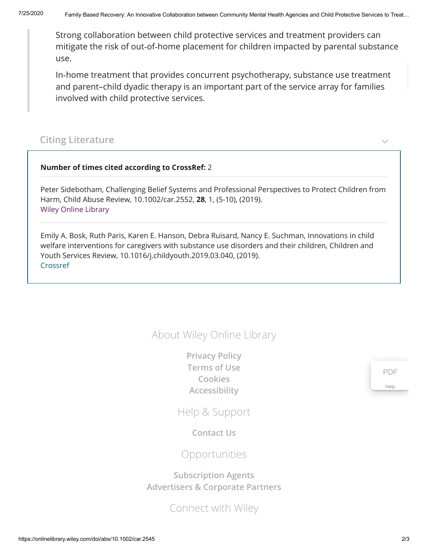Strong collaboration between child protective services and treatment providers can mitigate the risk of out‐of‐home placement for children impacted by parental substance use.

In‐home treatment that provides concurrent psychotherapy, substance use treatment and parent–child dyadic therapy is an important part of the service array for families involved with child protective services.

### <span id="page-1-0"></span>**Citing Literature**

#### **Number of times cited according to CrossRef:** 2

Peter Sidebotham, Challenging Belief Systems and Professional Perspectives to Protect Children from Harm, Child Abuse Review, 10.1002/car.2552, **28**, 1, (5-10), (2019). [Wiley Online Library](https://onlinelibrary.wiley.com/doi/10.1002/car.2552)

Emily A. Bosk, Ruth Paris, Karen E. Hanson, Debra Ruisard, Nancy E. Suchman, Innovations in child welfare interventions for caregivers with substance use disorders and their children, Children and Youth Services Review, 10.1016/j.childyouth.2019.03.040, (2019). [Crossref](https://doi.org/10.1016/j.childyouth.2019.03.040)

## About Wiley Online Library

**[Privacy Policy](https://www.wiley.com/privacy) [Terms of Use](https://onlinelibrary.wiley.com/terms-and-conditions) [Cookies](https://onlinelibrary.wiley.com/cookies) [Accessibility](https://onlinelibrary.wiley.com/accessibility)**

Help & Support

**[Contact Us](https://hub.wiley.com/community/support/onlinelibrary)**

Opportunities

**[Subscription Agents](https://onlinelibrary.wiley.com/agents) [Advertisers & Corporate Partners](https://onlinelibrary.wiley.com/advertisers)**

Connect with Wiley